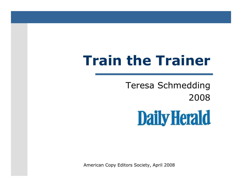# **Train the Trainer**

Teresa Schmedding2008

**Daily Herald** 

American Copy Editors Society, April 2008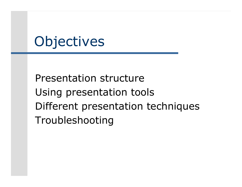# **Objectives**

Presentation structureUsing presentation toolsDifferent presentation techniquesTroubleshooting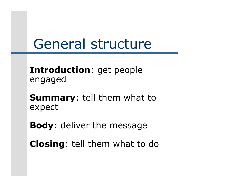#### General structure

**Introduction**: get peopleengaged

**Summary**: tell them what toexpect

**Body**: deliver the message

**Closing**: tell them what to do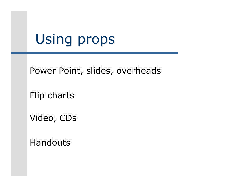# Using props

Power Point, slides, overheads

Flip charts

Video, CDs

**Handouts**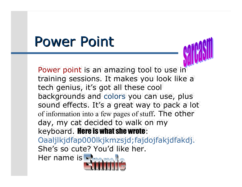#### Power Point

Power point is an amazing tool to use in training sessions. It makes you look like a tech genius, it's got all these cool backgrounds and colors you can use, plus sound effects. It's a great way to pack a lot of information into a few pages of stuff. The other day, my cat decided to walk on my keyboard. **Here is what she wrote**: Oaaljlkjdfap000lkjkmzsjd;fajdojfakjdfakdj. She's so cute? You'd like her. Her name is Her name isOaaljlkjdfap000lkjkmzsjd;fajdojfakjdfakdj.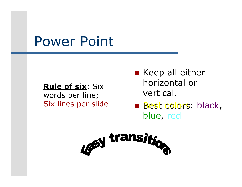#### Power Point

**Rule of six**: Six words per line;Six lines per slide **E** Keep all either horizontal or vertical.

 $\mathbb{R}^2$ ■ <mark>Best colors: black,</mark> blue, red

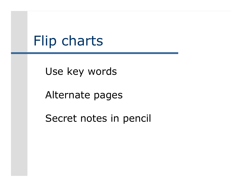#### Flip charts

Use key words

Alternate pages

Secret notes in pencil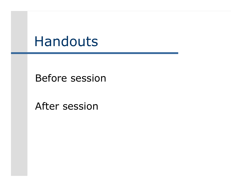#### Handouts

Before session

After session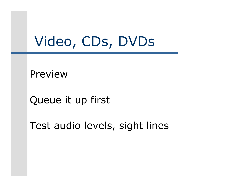#### Video, CDs, DVDs

Preview

Queue it up first

Test audio levels, sight lines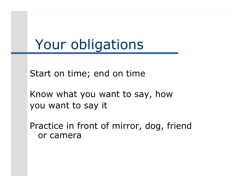#### Your obligations

Start on time; end on time

Know what you want to say, howyou want to say it

Practice in front of mirror, dog, friend or camera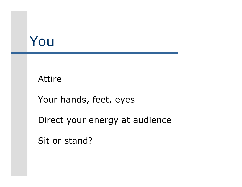#### You

#### Attire

Your hands, feet, eyes

Direct your energy at audience

Sit or stand?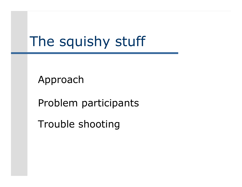# The squishy stuff

Approach

Problem participants

Trouble shooting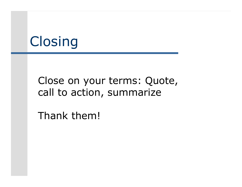# **Closing**

#### Close on your terms: Quote, call to action, summarize

Thank them!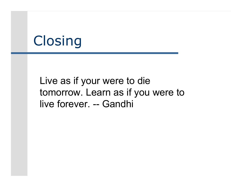#### **Closing**

Live as if your were to die tomorrow. Learn as if you were to live forever. -- Gandhi